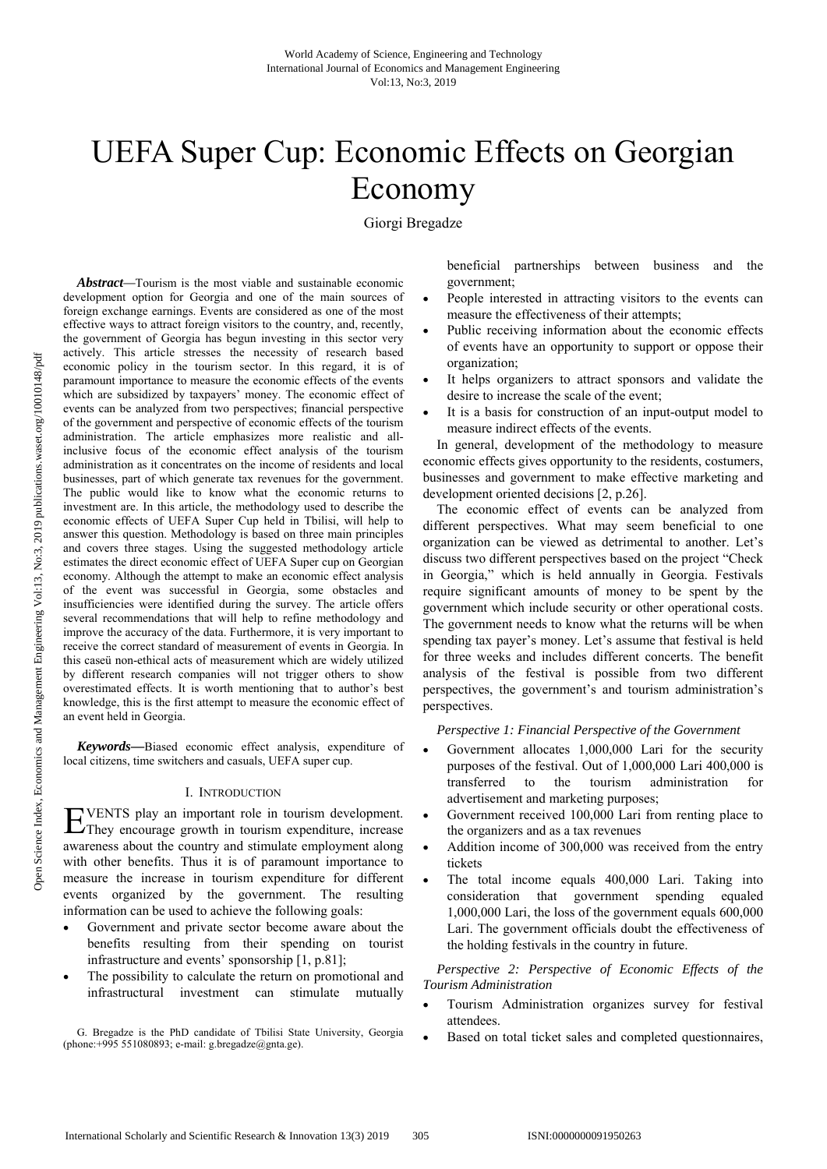# UEFA Super Cup: Economic Effects on Georgian Economy

Giorgi Bregadze

*Abstract—*Tourism is the most viable and sustainable economic development option for Georgia and one of the main sources of foreign exchange earnings. Events are considered as one of the most effective ways to attract foreign visitors to the country, and, recently, the government of Georgia has begun investing in this sector very actively. This article stresses the necessity of research based economic policy in the tourism sector. In this regard, it is of paramount importance to measure the economic effects of the events which are subsidized by taxpayers' money. The economic effect of events can be analyzed from two perspectives; financial perspective of the government and perspective of economic effects of the tourism administration. The article emphasizes more realistic and allinclusive focus of the economic effect analysis of the tourism administration as it concentrates on the income of residents and local businesses, part of which generate tax revenues for the government. The public would like to know what the economic returns to investment are. In this article, the methodology used to describe the economic effects of UEFA Super Cup held in Tbilisi, will help to answer this question. Methodology is based on three main principles and covers three stages. Using the suggested methodology article estimates the direct economic effect of UEFA Super cup on Georgian economy. Although the attempt to make an economic effect analysis of the event was successful in Georgia, some obstacles and insufficiencies were identified during the survey. The article offers several recommendations that will help to refine methodology and improve the accuracy of the data. Furthermore, it is very important to receive the correct standard of measurement of events in Georgia. In this caseü non-ethical acts of measurement which are widely utilized by different research companies will not trigger others to show overestimated effects. It is worth mentioning that to author's best knowledge, this is the first attempt to measure the economic effect of an event held in Georgia.

*Keywords—*Biased economic effect analysis, expenditure of local citizens, time switchers and casuals, UEFA super cup.

## I. INTRODUCTION

VENTS play an important role in tourism development. EVENTS play an important role in tourism development.<br>
They encourage growth in tourism expenditure, increase awareness about the country and stimulate employment along with other benefits. Thus it is of paramount importance to measure the increase in tourism expenditure for different events organized by the government. The resulting information can be used to achieve the following goals:

- Government and private sector become aware about the benefits resulting from their spending on tourist infrastructure and events' sponsorship [1, p.81];
- The possibility to calculate the return on promotional and infrastructural investment can stimulate mutually

G. Bregadze is the PhD candidate of Tbilisi State University, Georgia (phone: $+995$  551080893; e-mail: g.bregadze $(\partial g)$ gnta.ge).

beneficial partnerships between business and the government;

- People interested in attracting visitors to the events can measure the effectiveness of their attempts;
- Public receiving information about the economic effects of events have an opportunity to support or oppose their organization;
- It helps organizers to attract sponsors and validate the desire to increase the scale of the event;
- It is a basis for construction of an input-output model to measure indirect effects of the events.

In general, development of the methodology to measure economic effects gives opportunity to the residents, costumers, businesses and government to make effective marketing and development oriented decisions [2, p.26].

The economic effect of events can be analyzed from different perspectives. What may seem beneficial to one organization can be viewed as detrimental to another. Let's discuss two different perspectives based on the project "Check in Georgia," which is held annually in Georgia. Festivals require significant amounts of money to be spent by the government which include security or other operational costs. The government needs to know what the returns will be when spending tax payer's money. Let's assume that festival is held for three weeks and includes different concerts. The benefit analysis of the festival is possible from two different perspectives, the government's and tourism administration's perspectives.

*Perspective 1: Financial Perspective of the Government* 

- Government allocates 1,000,000 Lari for the security purposes of the festival. Out of 1,000,000 Lari 400,000 is transferred to the tourism administration for advertisement and marketing purposes;
- Government received 100,000 Lari from renting place to the organizers and as a tax revenues
- Addition income of 300,000 was received from the entry tickets
- The total income equals 400,000 Lari. Taking into consideration that government spending equaled 1,000,000 Lari, the loss of the government equals 600,000 Lari. The government officials doubt the effectiveness of the holding festivals in the country in future.

*Perspective 2: Perspective of Economic Effects of the Tourism Administration* 

- Tourism Administration organizes survey for festival attendees.
- Based on total ticket sales and completed questionnaires,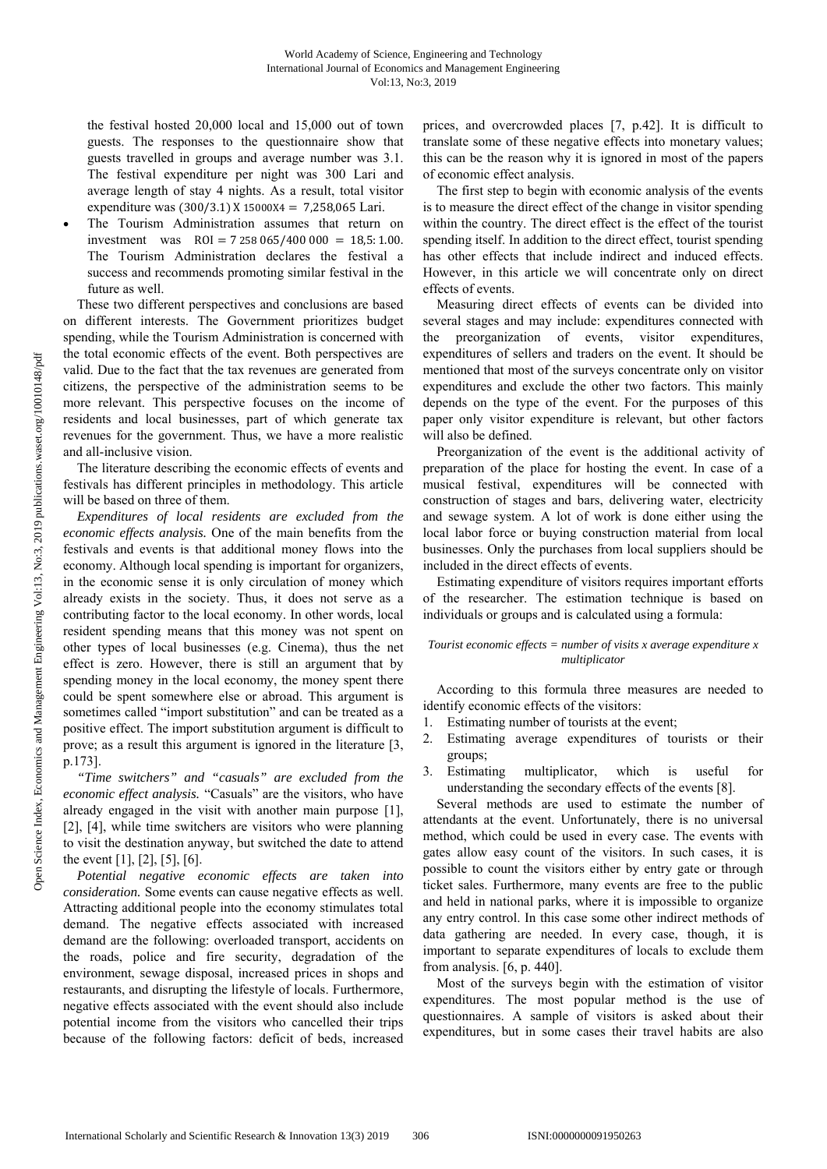the festival hosted 20,000 local and 15,000 out of town guests. The responses to the questionnaire show that guests travelled in groups and average number was 3.1. The festival expenditure per night was 300 Lari and average length of stay 4 nights. As a result, total visitor expenditure was  $(300/3.1)$  X 15000X4 = 7,258,065 Lari.

 The Tourism Administration assumes that return on investment was  $ROI = 7258065/400000 = 18,5:1.00$ . The Tourism Administration declares the festival a success and recommends promoting similar festival in the future as well.

These two different perspectives and conclusions are based on different interests. The Government prioritizes budget spending, while the Tourism Administration is concerned with the total economic effects of the event. Both perspectives are valid. Due to the fact that the tax revenues are generated from citizens, the perspective of the administration seems to be more relevant. This perspective focuses on the income of residents and local businesses, part of which generate tax revenues for the government. Thus, we have a more realistic and all-inclusive vision.

The literature describing the economic effects of events and festivals has different principles in methodology. This article will be based on three of them.

*Expenditures of local residents are excluded from the economic effects analysis.* One of the main benefits from the festivals and events is that additional money flows into the economy. Although local spending is important for organizers, in the economic sense it is only circulation of money which already exists in the society. Thus, it does not serve as a contributing factor to the local economy. In other words, local resident spending means that this money was not spent on other types of local businesses (e.g. Cinema), thus the net effect is zero. However, there is still an argument that by spending money in the local economy, the money spent there could be spent somewhere else or abroad. This argument is sometimes called "import substitution" and can be treated as a positive effect. The import substitution argument is difficult to prove; as a result this argument is ignored in the literature [3, p.173].

*"Time switchers" and "casuals" are excluded from the economic effect analysis.* "Casuals" are the visitors, who have already engaged in the visit with another main purpose [1], [2], [4], while time switchers are visitors who were planning to visit the destination anyway, but switched the date to attend the event [1], [2], [5], [6].

*Potential negative economic effects are taken into consideration.* Some events can cause negative effects as well. Attracting additional people into the economy stimulates total demand. The negative effects associated with increased demand are the following: overloaded transport, accidents on the roads, police and fire security, degradation of the environment, sewage disposal, increased prices in shops and restaurants, and disrupting the lifestyle of locals. Furthermore, negative effects associated with the event should also include potential income from the visitors who cancelled their trips because of the following factors: deficit of beds, increased

prices, and overcrowded places [7, p.42]. It is difficult to translate some of these negative effects into monetary values; this can be the reason why it is ignored in most of the papers of economic effect analysis.

The first step to begin with economic analysis of the events is to measure the direct effect of the change in visitor spending within the country. The direct effect is the effect of the tourist spending itself. In addition to the direct effect, tourist spending has other effects that include indirect and induced effects. However, in this article we will concentrate only on direct effects of events.

Measuring direct effects of events can be divided into several stages and may include: expenditures connected with the preorganization of events, visitor expenditures, expenditures of sellers and traders on the event. It should be mentioned that most of the surveys concentrate only on visitor expenditures and exclude the other two factors. This mainly depends on the type of the event. For the purposes of this paper only visitor expenditure is relevant, but other factors will also be defined.

Preorganization of the event is the additional activity of preparation of the place for hosting the event. In case of a musical festival, expenditures will be connected with construction of stages and bars, delivering water, electricity and sewage system. A lot of work is done either using the local labor force or buying construction material from local businesses. Only the purchases from local suppliers should be included in the direct effects of events.

Estimating expenditure of visitors requires important efforts of the researcher. The estimation technique is based on individuals or groups and is calculated using a formula:

# *Tourist economic effects = number of visits x average expenditure x multiplicator*

According to this formula three measures are needed to identify economic effects of the visitors:

- 1. Estimating number of tourists at the event;
- 2. Estimating average expenditures of tourists or their groups;
- 3. Estimating multiplicator, which is useful for understanding the secondary effects of the events [8].

Several methods are used to estimate the number of attendants at the event. Unfortunately, there is no universal method, which could be used in every case. The events with gates allow easy count of the visitors. In such cases, it is possible to count the visitors either by entry gate or through ticket sales. Furthermore, many events are free to the public and held in national parks, where it is impossible to organize any entry control. In this case some other indirect methods of data gathering are needed. In every case, though, it is important to separate expenditures of locals to exclude them from analysis. [6, p. 440].

Most of the surveys begin with the estimation of visitor expenditures. The most popular method is the use of questionnaires. A sample of visitors is asked about their expenditures, but in some cases their travel habits are also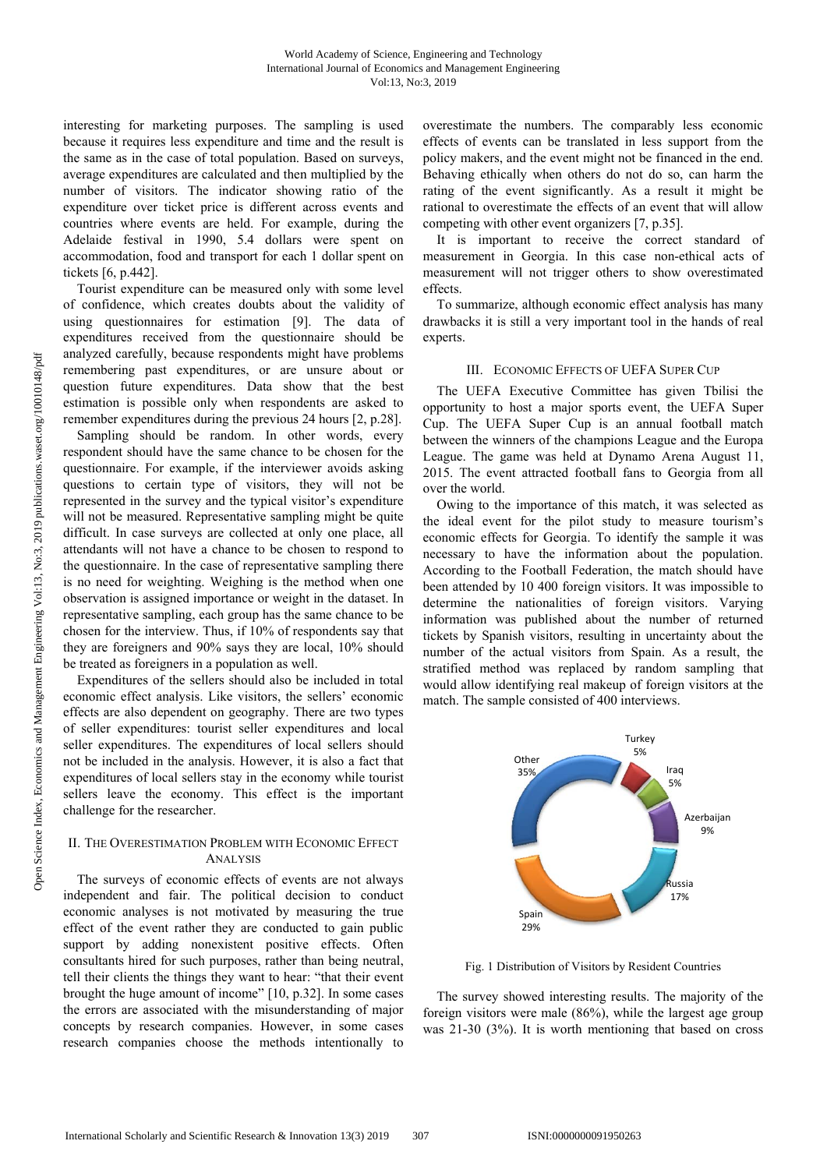interesting for marketing purposes. The sampling is used because it requires less expenditure and time and the result is the same as in the case of total population. Based on surveys, average expenditures are calculated and then multiplied by the number of visitors. The indicator showing ratio of the expenditure over ticket price is different across events and countries where events are held. For example, during the Adelaide festival in 1990, 5.4 dollars were spent on accommodation, food and transport for each 1 dollar spent on tickets [6, p.442].

Tourist expenditure can be measured only with some level of confidence, which creates doubts about the validity of using questionnaires for estimation [9]. The data of expenditures received from the questionnaire should be analyzed carefully, because respondents might have problems remembering past expenditures, or are unsure about or question future expenditures. Data show that the best estimation is possible only when respondents are asked to remember expenditures during the previous 24 hours [2, p.28].

Sampling should be random. In other words, every respondent should have the same chance to be chosen for the questionnaire. For example, if the interviewer avoids asking questions to certain type of visitors, they will not be represented in the survey and the typical visitor's expenditure will not be measured. Representative sampling might be quite difficult. In case surveys are collected at only one place, all attendants will not have a chance to be chosen to respond to the questionnaire. In the case of representative sampling there is no need for weighting. Weighing is the method when one observation is assigned importance or weight in the dataset. In representative sampling, each group has the same chance to be chosen for the interview. Thus, if 10% of respondents say that they are foreigners and 90% says they are local, 10% should be treated as foreigners in a population as well.

Expenditures of the sellers should also be included in total economic effect analysis. Like visitors, the sellers' economic effects are also dependent on geography. There are two types of seller expenditures: tourist seller expenditures and local seller expenditures. The expenditures of local sellers should not be included in the analysis. However, it is also a fact that expenditures of local sellers stay in the economy while tourist sellers leave the economy. This effect is the important challenge for the researcher.

# II. THE OVERESTIMATION PROBLEM WITH ECONOMIC EFFECT ANALYSIS

The surveys of economic effects of events are not always independent and fair. The political decision to conduct economic analyses is not motivated by measuring the true effect of the event rather they are conducted to gain public support by adding nonexistent positive effects. Often consultants hired for such purposes, rather than being neutral, tell their clients the things they want to hear: "that their event brought the huge amount of income" [10, p.32]. In some cases the errors are associated with the misunderstanding of major concepts by research companies. However, in some cases research companies choose the methods intentionally to

overestimate the numbers. The comparably less economic effects of events can be translated in less support from the policy makers, and the event might not be financed in the end. Behaving ethically when others do not do so, can harm the rating of the event significantly. As a result it might be rational to overestimate the effects of an event that will allow competing with other event organizers [7, p.35].

It is important to receive the correct standard of measurement in Georgia. In this case non-ethical acts of measurement will not trigger others to show overestimated effects.

To summarize, although economic effect analysis has many drawbacks it is still a very important tool in the hands of real experts.

## III. ECONOMIC EFFECTS OF UEFA SUPER CUP

The UEFA Executive Committee has given Tbilisi the opportunity to host a major sports event, the UEFA Super Cup. The UEFA Super Cup is an annual football match between the winners of the champions League and the Europa League. The game was held at Dynamo Arena August 11, 2015. The event attracted football fans to Georgia from all over the world.

Owing to the importance of this match, it was selected as the ideal event for the pilot study to measure tourism's economic effects for Georgia. To identify the sample it was necessary to have the information about the population. According to the Football Federation, the match should have been attended by 10 400 foreign visitors. It was impossible to determine the nationalities of foreign visitors. Varying information was published about the number of returned tickets by Spanish visitors, resulting in uncertainty about the number of the actual visitors from Spain. As a result, the stratified method was replaced by random sampling that would allow identifying real makeup of foreign visitors at the match. The sample consisted of 400 interviews.



Fig. 1 Distribution of Visitors by Resident Countries

The survey showed interesting results. The majority of the foreign visitors were male (86%), while the largest age group was 21-30 (3%). It is worth mentioning that based on cross